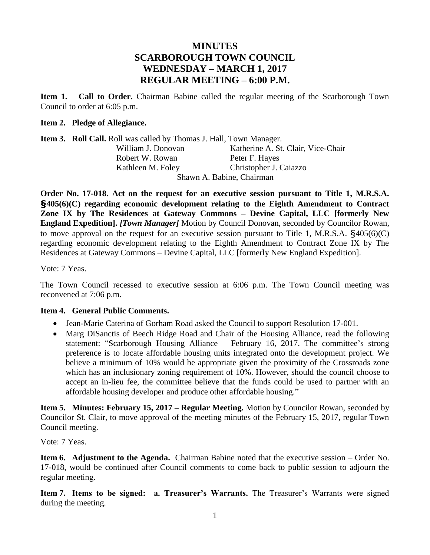# **MINUTES SCARBOROUGH TOWN COUNCIL WEDNESDAY – MARCH 1, 2017 REGULAR MEETING – 6:00 P.M.**

**Item 1. Call to Order.** Chairman Babine called the regular meeting of the Scarborough Town Council to order at 6:05 p.m.

#### **Item 2. Pledge of Allegiance.**

**Item 3. Roll Call.** Roll was called by Thomas J. Hall, Town Manager. William J. Donovan Katherine A. St. Clair, Vice-Chair Robert W. Rowan Peter F. Hayes Kathleen M. Foley Christopher J. Caiazzo Shawn A. Babine, Chairman

**Order No. 17-018. Act on the request for an executive session pursuant to Title 1, M.R.S.A. §405(6)(C) regarding economic development relating to the Eighth Amendment to Contract Zone IX by The Residences at Gateway Commons – Devine Capital, LLC [formerly New England Expedition].** *[Town Manager]* Motion by Council Donovan, seconded by Councilor Rowan, to move approval on the request for an executive session pursuant to Title 1, M.R.S.A. §405(6)(C) regarding economic development relating to the Eighth Amendment to Contract Zone IX by The Residences at Gateway Commons – Devine Capital, LLC [formerly New England Expedition].

Vote: 7 Yeas.

The Town Council recessed to executive session at 6:06 p.m. The Town Council meeting was reconvened at 7:06 p.m.

### **Item 4. General Public Comments.**

- Jean-Marie Caterina of Gorham Road asked the Council to support Resolution 17-001.
- Marg DiSanctis of Beech Ridge Road and Chair of the Housing Alliance, read the following statement: "Scarborough Housing Alliance – February 16, 2017. The committee's strong preference is to locate affordable housing units integrated onto the development project. We believe a minimum of 10% would be appropriate given the proximity of the Crossroads zone which has an inclusionary zoning requirement of 10%. However, should the council choose to accept an in-lieu fee, the committee believe that the funds could be used to partner with an affordable housing developer and produce other affordable housing."

**Item 5. Minutes: February 15, 2017 – Regular Meeting.** Motion by Councilor Rowan, seconded by Councilor St. Clair, to move approval of the meeting minutes of the February 15, 2017, regular Town Council meeting.

Vote: 7 Yeas.

**Item 6. Adjustment to the Agenda.** Chairman Babine noted that the executive session – Order No. 17-018, would be continued after Council comments to come back to public session to adjourn the regular meeting.

**Item 7. Items to be signed: a. Treasurer's Warrants.** The Treasurer's Warrants were signed during the meeting.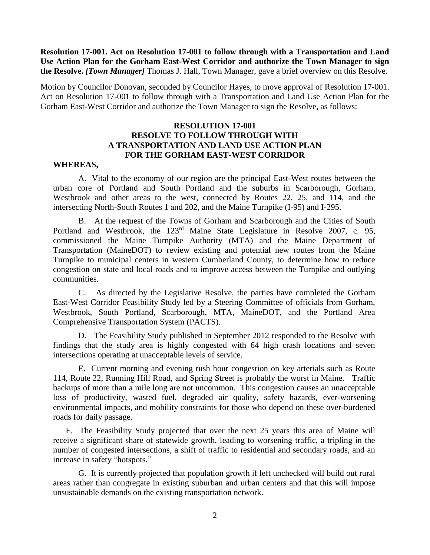#### **Resolution 17-001. Act on Resolution 17-001 to follow through with a Transportation and Land Use Action Plan for the Gorham East-West Corridor and authorize the Town Manager to sign the Resolve.** *[Town Manager]* Thomas J. Hall, Town Manager, gave a brief overview on this Resolve.

Motion by Councilor Donovan, seconded by Councilor Hayes, to move approval of Resolution 17-001. Act on Resolution 17-001 to follow through with a Transportation and Land Use Action Plan for the Gorham East-West Corridor and authorize the Town Manager to sign the Resolve, as follows:

#### **RESOLUTION 17-001 RESOLVE TO FOLLOW THROUGH WITH A TRANSPORTATION AND LAND USE ACTION PLAN FOR THE GORHAM EAST-WEST CORRIDOR**

#### **WHEREAS,**

A. Vital to the economy of our region are the principal East-West routes between the urban core of Portland and South Portland and the suburbs in Scarborough, Gorham, Westbrook and other areas to the west, connected by Routes 22, 25, and 114, and the intersecting North-South Routes 1 and 202, and the Maine Turnpike (I-95) and I-295.

B. At the request of the Towns of Gorham and Scarborough and the Cities of South Portland and Westbrook, the 123<sup>rd</sup> Maine State Legislature in Resolve 2007, c. 95, commissioned the Maine Turnpike Authority (MTA) and the Maine Department of Transportation (MaineDOT) to review existing and potential new routes from the Maine Turnpike to municipal centers in western Cumberland County, to determine how to reduce congestion on state and local roads and to improve access between the Turnpike and outlying communities.

C.As directed by the Legislative Resolve, the parties have completed the Gorham East-West Corridor Feasibility Study led by a Steering Committee of officials from Gorham, Westbrook, South Portland, Scarborough, MTA, MaineDOT, and the Portland Area Comprehensive Transportation System (PACTS).

D. The Feasibility Study published in September 2012 responded to the Resolve with findings that the study area is highly congested with 64 high crash locations and seven intersections operating at unacceptable levels of service.

E. Current morning and evening rush hour congestion on key arterials such as Route 114, Route 22, Running Hill Road, and Spring Street is probably the worst in Maine. Traffic backups of more than a mile long are not uncommon. This congestion causes an unacceptable loss of productivity, wasted fuel, degraded air quality, safety hazards, ever-worsening environmental impacts, and mobility constraints for those who depend on these over-burdened roads for daily passage.

F. The Feasibility Study projected that over the next 25 years this area of Maine will receive a significant share of statewide growth, leading to worsening traffic, a tripling in the number of congested intersections, a shift of traffic to residential and secondary roads, and an increase in safety "hotspots."

G. It is currently projected that population growth if left unchecked will build out rural areas rather than congregate in existing suburban and urban centers and that this will impose unsustainable demands on the existing transportation network.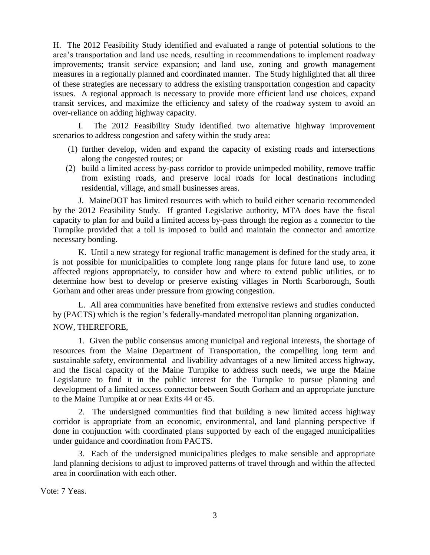H. The 2012 Feasibility Study identified and evaluated a range of potential solutions to the area's transportation and land use needs, resulting in recommendations to implement roadway improvements; transit service expansion; and land use, zoning and growth management measures in a regionally planned and coordinated manner. The Study highlighted that all three of these strategies are necessary to address the existing transportation congestion and capacity issues. A regional approach is necessary to provide more efficient land use choices, expand transit services, and maximize the efficiency and safety of the roadway system to avoid an over-reliance on adding highway capacity.

I. The 2012 Feasibility Study identified two alternative highway improvement scenarios to address congestion and safety within the study area:

- (1) further develop, widen and expand the capacity of existing roads and intersections along the congested routes; or
- (2) build a limited access by-pass corridor to provide unimpeded mobility, remove traffic from existing roads, and preserve local roads for local destinations including residential, village, and small businesses areas.

J. MaineDOT has limited resources with which to build either scenario recommended by the 2012 Feasibility Study. If granted Legislative authority, MTA does have the fiscal capacity to plan for and build a limited access by-pass through the region as a connector to the Turnpike provided that a toll is imposed to build and maintain the connector and amortize necessary bonding.

K. Until a new strategy for regional traffic management is defined for the study area, it is not possible for municipalities to complete long range plans for future land use, to zone affected regions appropriately, to consider how and where to extend public utilities, or to determine how best to develop or preserve existing villages in North Scarborough, South Gorham and other areas under pressure from growing congestion.

L. All area communities have benefited from extensive reviews and studies conducted by (PACTS) which is the region's federally-mandated metropolitan planning organization. NOW, THEREFORE,

#### 1. Given the public consensus among municipal and regional interests, the shortage of resources from the Maine Department of Transportation, the compelling long term and sustainable safety, environmental and livability advantages of a new limited access highway, and the fiscal capacity of the Maine Turnpike to address such needs, we urge the Maine Legislature to find it in the public interest for the Turnpike to pursue planning and development of a limited access connector between South Gorham and an appropriate juncture to the Maine Turnpike at or near Exits 44 or 45.

2. The undersigned communities find that building a new limited access highway corridor is appropriate from an economic, environmental, and land planning perspective if done in conjunction with coordinated plans supported by each of the engaged municipalities under guidance and coordination from PACTS.

3. Each of the undersigned municipalities pledges to make sensible and appropriate land planning decisions to adjust to improved patterns of travel through and within the affected area in coordination with each other.

Vote: 7 Yeas.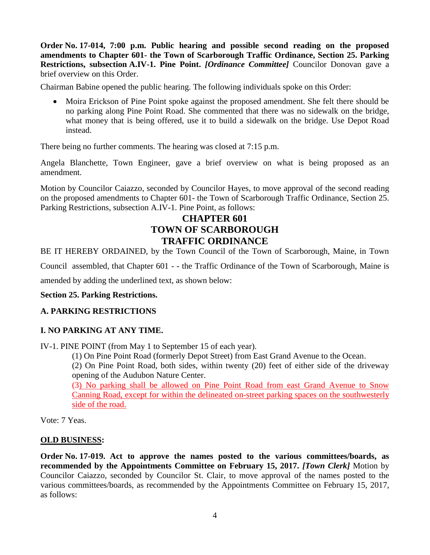**Order No. 17-014, 7:00 p.m. Public hearing and possible second reading on the proposed amendments to Chapter 601- the Town of Scarborough Traffic Ordinance, Section 25. Parking Restrictions, subsection A.IV-1. Pine Point.** *[Ordinance Committee]* Councilor Donovan gave a brief overview on this Order.

Chairman Babine opened the public hearing. The following individuals spoke on this Order:

 Moira Erickson of Pine Point spoke against the proposed amendment. She felt there should be no parking along Pine Point Road. She commented that there was no sidewalk on the bridge, what money that is being offered, use it to build a sidewalk on the bridge. Use Depot Road instead.

There being no further comments. The hearing was closed at 7:15 p.m.

Angela Blanchette, Town Engineer, gave a brief overview on what is being proposed as an amendment.

Motion by Councilor Caiazzo, seconded by Councilor Hayes, to move approval of the second reading on the proposed amendments to Chapter 601- the Town of Scarborough Traffic Ordinance, Section 25. Parking Restrictions, subsection A.IV-1. Pine Point, as follows:

# **CHAPTER 601 TOWN OF SCARBOROUGH TRAFFIC ORDINANCE**

BE IT HEREBY ORDAINED, by the Town Council of the Town of Scarborough, Maine, in Town

Council assembled, that Chapter 601 - - the Traffic Ordinance of the Town of Scarborough, Maine is

amended by adding the underlined text, as shown below:

### **Section 25. Parking Restrictions.**

### **A. PARKING RESTRICTIONS**

### **I. NO PARKING AT ANY TIME.**

IV-1. PINE POINT (from May 1 to September 15 of each year).

(1) On Pine Point Road (formerly Depot Street) from East Grand Avenue to the Ocean.

(2) On Pine Point Road, both sides, within twenty (20) feet of either side of the driveway opening of the Audubon Nature Center.

(3) No parking shall be allowed on Pine Point Road from east Grand Avenue to Snow Canning Road, except for within the delineated on-street parking spaces on the southwesterly side of the road.

Vote: 7 Yeas.

#### **OLD BUSINESS:**

**Order No. 17-019. Act to approve the names posted to the various committees/boards, as recommended by the Appointments Committee on February 15, 2017.** *[Town Clerk]* Motion by Councilor Caiazzo, seconded by Councilor St. Clair, to move approval of the names posted to the various committees/boards, as recommended by the Appointments Committee on February 15, 2017, as follows: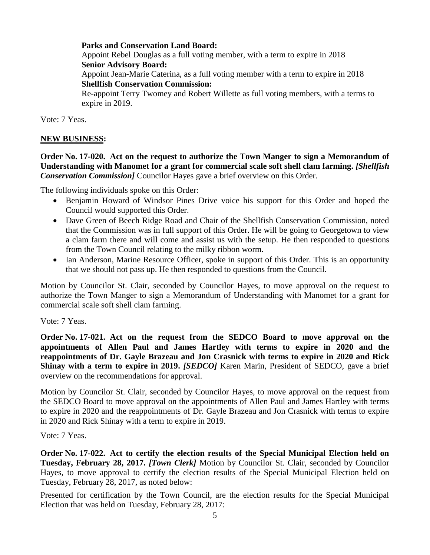#### **Parks and Conservation Land Board:**

Appoint Rebel Douglas as a full voting member, with a term to expire in 2018 **Senior Advisory Board:** 

Appoint Jean-Marie Caterina, as a full voting member with a term to expire in 2018 **Shellfish Conservation Commission:** 

Re-appoint Terry Twomey and Robert Willette as full voting members, with a terms to expire in 2019.

Vote: 7 Yeas.

### **NEW BUSINESS:**

**Order No. 17-020. Act on the request to authorize the Town Manger to sign a Memorandum of Understanding with Manomet for a grant for commercial scale soft shell clam farming.** *[Shellfish Conservation Commission]* Councilor Hayes gave a brief overview on this Order.

The following individuals spoke on this Order:

- Benjamin Howard of Windsor Pines Drive voice his support for this Order and hoped the Council would supported this Order.
- Dave Green of Beech Ridge Road and Chair of the Shellfish Conservation Commission, noted that the Commission was in full support of this Order. He will be going to Georgetown to view a clam farm there and will come and assist us with the setup. He then responded to questions from the Town Council relating to the milky ribbon worm.
- Ian Anderson, Marine Resource Officer, spoke in support of this Order. This is an opportunity that we should not pass up. He then responded to questions from the Council.

Motion by Councilor St. Clair, seconded by Councilor Hayes, to move approval on the request to authorize the Town Manger to sign a Memorandum of Understanding with Manomet for a grant for commercial scale soft shell clam farming.

### Vote: 7 Yeas.

**Order No. 17-021. Act on the request from the SEDCO Board to move approval on the appointments of Allen Paul and James Hartley with terms to expire in 2020 and the reappointments of Dr. Gayle Brazeau and Jon Crasnick with terms to expire in 2020 and Rick Shinay with a term to expire in 2019.** *[SEDCO]* Karen Marin, President of SEDCO, gave a brief overview on the recommendations for approval.

Motion by Councilor St. Clair, seconded by Councilor Hayes, to move approval on the request from the SEDCO Board to move approval on the appointments of Allen Paul and James Hartley with terms to expire in 2020 and the reappointments of Dr. Gayle Brazeau and Jon Crasnick with terms to expire in 2020 and Rick Shinay with a term to expire in 2019.

Vote: 7 Yeas.

**Order No. 17-022. Act to certify the election results of the Special Municipal Election held on Tuesday, February 28, 2017.** *[Town Clerk]* Motion by Councilor St. Clair, seconded by Councilor Hayes, to move approval to certify the election results of the Special Municipal Election held on Tuesday, February 28, 2017, as noted below:

Presented for certification by the Town Council, are the election results for the Special Municipal Election that was held on Tuesday, February 28, 2017: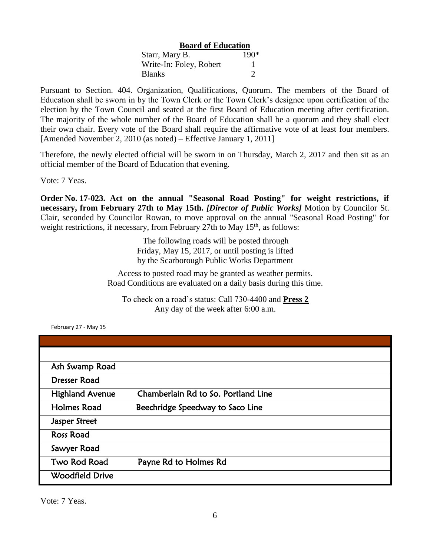| <b>Board of Education</b> |               |
|---------------------------|---------------|
| Starr, Mary B.            | $190*$        |
| Write-In: Foley, Robert   |               |
| <b>Blanks</b>             | $\mathcal{D}$ |

Pursuant to Section. 404. Organization, Qualifications, Quorum. The members of the Board of Education shall be sworn in by the Town Clerk or the Town Clerk's designee upon certification of the election by the Town Council and seated at the first Board of Education meeting after certification. The majority of the whole number of the Board of Education shall be a quorum and they shall elect their own chair. Every vote of the Board shall require the affirmative vote of at least four members. [Amended November 2, 2010 (as noted) – Effective January 1, 2011]

Therefore, the newly elected official will be sworn in on Thursday, March 2, 2017 and then sit as an official member of the Board of Education that evening.

Vote: 7 Yeas.

**Order No. 17-023. Act on the annual "Seasonal Road Posting" for weight restrictions, if necessary, from February 27th to May 15th.** *[Director of Public Works]* Motion by Councilor St. Clair, seconded by Councilor Rowan, to move approval on the annual "Seasonal Road Posting" for weight restrictions, if necessary, from February 27th to May  $15<sup>th</sup>$ , as follows:

> The following roads will be posted through Friday, May 15, 2017, or until posting is lifted by the Scarborough Public Works Department

Access to posted road may be granted as weather permits. Road Conditions are evaluated on a daily basis during this time.

To check on a road's status: Call 730-4400 and **Press 2** Any day of the week after 6:00 a.m.

February 27 - May 15

| Ash Swamp Road         |                                     |
|------------------------|-------------------------------------|
| <b>Dresser Road</b>    |                                     |
| <b>Highland Avenue</b> | Chamberlain Rd to So. Portland Line |
| <b>Holmes Road</b>     | Beechridge Speedway to Saco Line    |
| Jasper Street          |                                     |
| <b>Ross Road</b>       |                                     |
| Sawyer Road            |                                     |
| Two Rod Road           | Payne Rd to Holmes Rd               |
| <b>Woodfield Drive</b> |                                     |

Vote: 7 Yeas.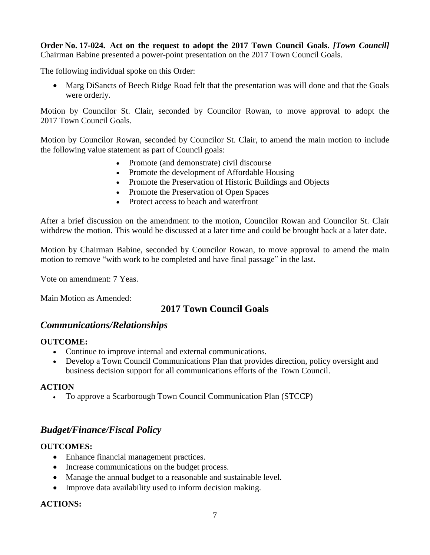#### **Order No. 17-024. Act on the request to adopt the 2017 Town Council Goals.** *[Town Council]* Chairman Babine presented a power-point presentation on the 2017 Town Council Goals.

The following individual spoke on this Order:

 Marg DiSancts of Beech Ridge Road felt that the presentation was will done and that the Goals were orderly.

Motion by Councilor St. Clair, seconded by Councilor Rowan, to move approval to adopt the 2017 Town Council Goals.

Motion by Councilor Rowan, seconded by Councilor St. Clair, to amend the main motion to include the following value statement as part of Council goals:

- Promote (and demonstrate) civil discourse
- Promote the development of Affordable Housing
- Promote the Preservation of Historic Buildings and Objects
- Promote the Preservation of Open Spaces
- Protect access to beach and waterfront

After a brief discussion on the amendment to the motion, Councilor Rowan and Councilor St. Clair withdrew the motion. This would be discussed at a later time and could be brought back at a later date.

Motion by Chairman Babine, seconded by Councilor Rowan, to move approval to amend the main motion to remove "with work to be completed and have final passage" in the last.

Vote on amendment: 7 Yeas.

Main Motion as Amended:

## **2017 Town Council Goals**

## *Communications/Relationships*

#### **OUTCOME:**

- Continue to improve internal and external communications.
- Develop a Town Council Communications Plan that provides direction, policy oversight and business decision support for all communications efforts of the Town Council.

#### **ACTION**

To approve a Scarborough Town Council Communication Plan (STCCP)

# *Budget/Finance/Fiscal Policy*

### **OUTCOMES:**

- Enhance financial management practices.
- Increase communications on the budget process.
- Manage the annual budget to a reasonable and sustainable level.
- Improve data availability used to inform decision making.

#### **ACTIONS:**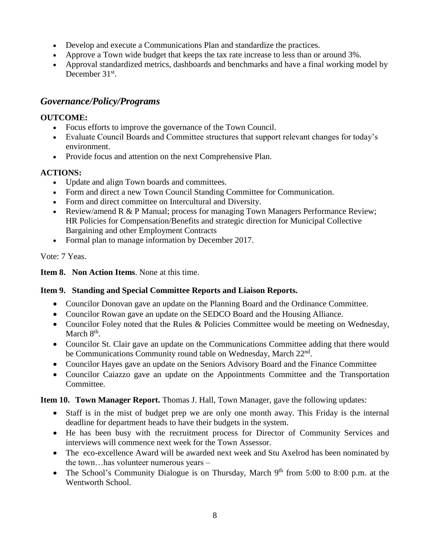- Develop and execute a Communications Plan and standardize the practices.
- Approve a Town wide budget that keeps the tax rate increase to less than or around 3%.
- Approval standardized metrics, dashboards and benchmarks and have a final working model by December 31<sup>st</sup>.

# *Governance/Policy/Programs*

### **OUTCOME:**

- Focus efforts to improve the governance of the Town Council.
- Evaluate Council Boards and Committee structures that support relevant changes for today's environment.
- Provide focus and attention on the next Comprehensive Plan.

## **ACTIONS:**

- Update and align Town boards and committees.
- Form and direct a new Town Council Standing Committee for Communication.
- Form and direct committee on Intercultural and Diversity.
- Review/amend R & P Manual; process for managing Town Managers Performance Review; HR Policies for Compensation/Benefits and strategic direction for Municipal Collective Bargaining and other Employment Contracts
- Formal plan to manage information by December 2017.

Vote: 7 Yeas.

**Item 8. Non Action Items**. None at this time.

## **Item 9. Standing and Special Committee Reports and Liaison Reports.**

- Councilor Donovan gave an update on the Planning Board and the Ordinance Committee.
- Councilor Rowan gave an update on the SEDCO Board and the Housing Alliance.
- Councilor Foley noted that the Rules  $&$  Policies Committee would be meeting on Wednesday, March 8<sup>th</sup>.
- Councilor St. Clair gave an update on the Communications Committee adding that there would be Communications Community round table on Wednesday, March 22<sup>nd</sup>.
- Councilor Hayes gave an update on the Seniors Advisory Board and the Finance Committee
- Councilor Caiazzo gave an update on the Appointments Committee and the Transportation Committee.

### **Item 10. Town Manager Report.** Thomas J. Hall, Town Manager, gave the following updates:

- Staff is in the mist of budget prep we are only one month away. This Friday is the internal deadline for department heads to have their budgets in the system.
- He has been busy with the recruitment process for Director of Community Services and interviews will commence next week for the Town Assessor.
- The eco-excellence Award will be awarded next week and Stu Axelrod has been nominated by the town…has volunteer numerous years –
- The School's Community Dialogue is on Thursday, March  $9<sup>th</sup>$  from 5:00 to 8:00 p.m. at the Wentworth School.